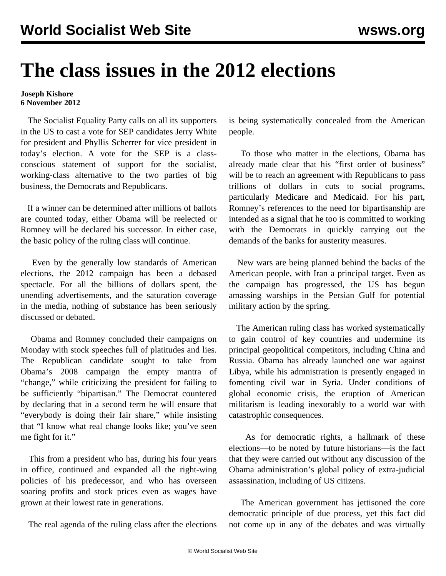## **The class issues in the 2012 elections**

## **Joseph Kishore 6 November 2012**

 The Socialist Equality Party calls on all its supporters in the US to cast a vote for SEP candidates Jerry White for president and Phyllis Scherrer for vice president in today's election. A vote for the SEP is a classconscious statement of support for the socialist, working-class alternative to the two parties of big business, the Democrats and Republicans.

 If a winner can be determined after millions of ballots are counted today, either Obama will be reelected or Romney will be declared his successor. In either case, the basic policy of the ruling class will continue.

 Even by the generally low standards of American elections, the 2012 campaign has been a debased spectacle. For all the billions of dollars spent, the unending advertisements, and the saturation coverage in the media, nothing of substance has been seriously discussed or debated.

 Obama and Romney concluded their campaigns on Monday with stock speeches full of platitudes and lies. The Republican candidate sought to take from Obama's 2008 campaign the empty mantra of "change," while criticizing the president for failing to be sufficiently "bipartisan." The Democrat countered by declaring that in a second term he will ensure that "everybody is doing their fair share," while insisting that "I know what real change looks like; you've seen me fight for it."

 This from a president who has, during his four years in office, continued and expanded all the right-wing policies of his predecessor, and who has overseen soaring profits and stock prices even as wages have grown at their lowest rate in generations.

The real agenda of the ruling class after the elections

is being systematically concealed from the American people.

 To those who matter in the elections, Obama has already made clear that his "first order of business" will be to reach an agreement with Republicans to pass trillions of dollars in cuts to social programs, particularly Medicare and Medicaid. For his part, Romney's references to the need for bipartisanship are intended as a signal that he too is committed to working with the Democrats in quickly carrying out the demands of the banks for austerity measures.

 New wars are being planned behind the backs of the American people, with Iran a principal target. Even as the campaign has progressed, the US has begun amassing warships in the Persian Gulf for potential military action by the spring.

 The American ruling class has worked systematically to gain control of key countries and undermine its principal geopolitical competitors, including China and Russia. Obama has already launched one war against Libya, while his admnistration is presently engaged in fomenting civil war in Syria. Under conditions of global economic crisis, the eruption of American militarism is leading inexorably to a world war with catastrophic consequences.

 As for democratic rights, a hallmark of these elections—to be noted by future historians—is the fact that they were carried out without any discussion of the Obama administration's global policy of extra-judicial assassination, including of US citizens.

 The American government has jettisoned the core democratic principle of due process, yet this fact did not come up in any of the debates and was virtually